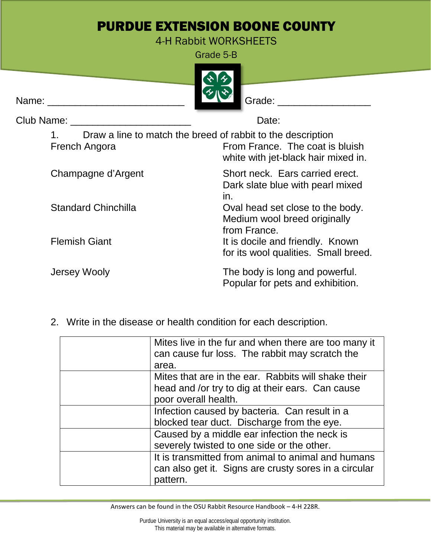## PURDUE EXTENSION BOONE COUNTY

4-H Rabbit WORKSHEETS

Grade 5-B



| Club Name:                 | Date:                                                                                                                                 |  |
|----------------------------|---------------------------------------------------------------------------------------------------------------------------------------|--|
| French Angora              | Draw a line to match the breed of rabbit to the description<br>From France. The coat is bluish<br>white with jet-black hair mixed in. |  |
| Champagne d'Argent         | Short neck. Ears carried erect.<br>Dark slate blue with pearl mixed<br>in.                                                            |  |
| <b>Standard Chinchilla</b> | Oval head set close to the body.<br>Medium wool breed originally<br>from France.                                                      |  |
| <b>Flemish Giant</b>       | It is docile and friendly. Known<br>for its wool qualities. Small breed.                                                              |  |
| Jersey Wooly               | The body is long and powerful.<br>Popular for pets and exhibition.                                                                    |  |

2. Write in the disease or health condition for each description.

| Mites live in the fur and when there are too many it<br>can cause fur loss. The rabbit may scratch the<br>area.                 |
|---------------------------------------------------------------------------------------------------------------------------------|
| Mites that are in the ear. Rabbits will shake their<br>head and /or try to dig at their ears. Can cause<br>poor overall health. |
| Infection caused by bacteria. Can result in a<br>blocked tear duct. Discharge from the eye.                                     |
| Caused by a middle ear infection the neck is<br>severely twisted to one side or the other.                                      |
| It is transmitted from animal to animal and humans<br>can also get it. Signs are crusty sores in a circular<br>pattern.         |

Answers can be found in the OSU Rabbit Resource Handbook – 4-H 228R.